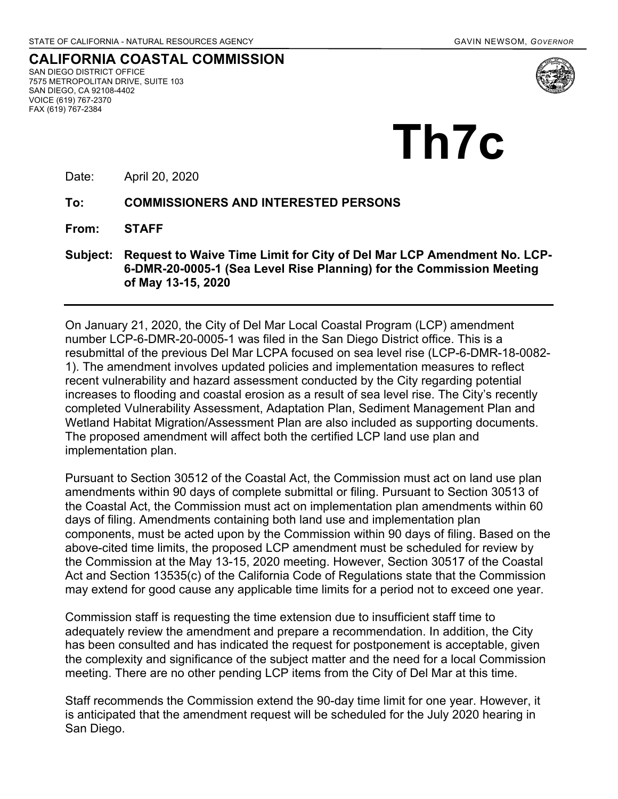**CALIFORNIA COASTAL COMMISSION** SAN DIEGO DISTRICT OFFICE 7575 METROPOLITAN DRIVE, SUITE 103 SAN DIEGO, CA 92108-4402 VOICE (619) 767-2370 FAX (619) 767-2384



# **Th7c**

Date: April 20, 2020

#### **To: COMMISSIONERS AND INTERESTED PERSONS**

**From: STAFF**

**Subject: Request to Waive Time Limit for City of Del Mar LCP Amendment No. LCP-6-DMR-20-0005-1 (Sea Level Rise Planning) for the Commission Meeting of May 13-15, 2020**

On January 21, 2020, the City of Del Mar Local Coastal Program (LCP) amendment number LCP-6-DMR-20-0005-1 was filed in the San Diego District office. This is a resubmittal of the previous Del Mar LCPA focused on sea level rise (LCP-6-DMR-18-0082- 1). The amendment involves updated policies and implementation measures to reflect recent vulnerability and hazard assessment conducted by the City regarding potential increases to flooding and coastal erosion as a result of sea level rise. The City's recently completed Vulnerability Assessment, Adaptation Plan, Sediment Management Plan and Wetland Habitat Migration/Assessment Plan are also included as supporting documents. The proposed amendment will affect both the certified LCP land use plan and implementation plan.

Pursuant to Section 30512 of the Coastal Act, the Commission must act on land use plan amendments within 90 days of complete submittal or filing. Pursuant to Section 30513 of the Coastal Act, the Commission must act on implementation plan amendments within 60 days of filing. Amendments containing both land use and implementation plan components, must be acted upon by the Commission within 90 days of filing. Based on the above-cited time limits, the proposed LCP amendment must be scheduled for review by the Commission at the May 13-15, 2020 meeting. However, Section 30517 of the Coastal Act and Section 13535(c) of the California Code of Regulations state that the Commission may extend for good cause any applicable time limits for a period not to exceed one year.

Commission staff is requesting the time extension due to insufficient staff time to adequately review the amendment and prepare a recommendation. In addition, the City has been consulted and has indicated the request for postponement is acceptable, given the complexity and significance of the subject matter and the need for a local Commission meeting. There are no other pending LCP items from the City of Del Mar at this time.

Staff recommends the Commission extend the 90-day time limit for one year. However, it is anticipated that the amendment request will be scheduled for the July 2020 hearing in San Diego.